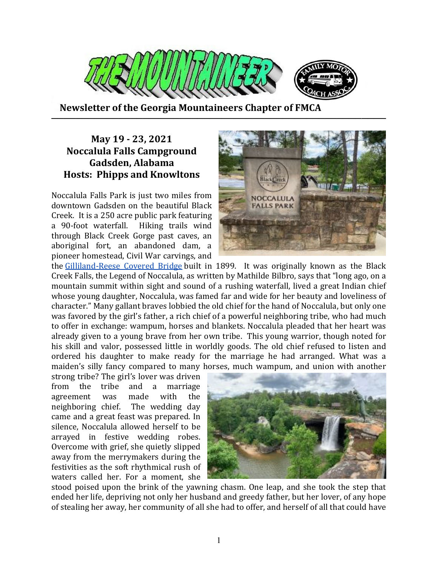

 **Newsletter of the Georgia Mountaineers Chapter of FMCA ───────────────────────────────────────────────────────**

## **May 19 - 23, 2021 Noccalula Falls Campground Gadsden, Alabama Hosts: Phipps and Knowltons**

Noccalula Falls Park is just two miles from downtown Gadsden on the beautiful Black Creek. It is a 250 acre public park featuring a 90-foot waterfall. Hiking trails wind through Black Creek Gorge past caves, an aboriginal fort, an abandoned dam, a pioneer homestead, Civil War carvings, and



the Gilliland-Reese Covered Bridge built in 1899. It was originally known as the Black Creek Falls, the Legend of Noccalula, as written by Mathilde Bilbro, says that "long ago, on a mountain summit within sight and sound of a rushing waterfall, lived a great Indian chief whose young daughter, Noccalula, was famed far and wide for her beauty and loveliness of character." Many gallant braves lobbied the old chief for the hand of Noccalula, but only one was favored by the girl's father, a rich chief of a powerful neighboring tribe, who had much to offer in exchange: wampum, horses and blankets. Noccalula pleaded that her heart was already given to a young brave from her own tribe. This young warrior, though noted for his skill and valor, possessed little in worldly goods. The old chief refused to listen and ordered his daughter to make ready for the marriage he had arranged. What was a maiden's silly fancy compared to many horses, much wampum, and union with another

strong tribe? The girl's lover was driven from the tribe and a marriage agreement was made with the neighboring chief. The wedding day came and a great feast was prepared. In silence, Noccalula allowed herself to be arrayed in festive wedding robes. Overcome with grief, she quietly slipped away from the merrymakers during the festivities as the soft rhythmical rush of waters called her. For a moment, she



stood poised upon the brink of the yawning chasm. One leap, and she took the step that ended her life, depriving not only her husband and greedy father, but her lover, of any hope of stealing her away, her community of all she had to offer, and herself of all that could have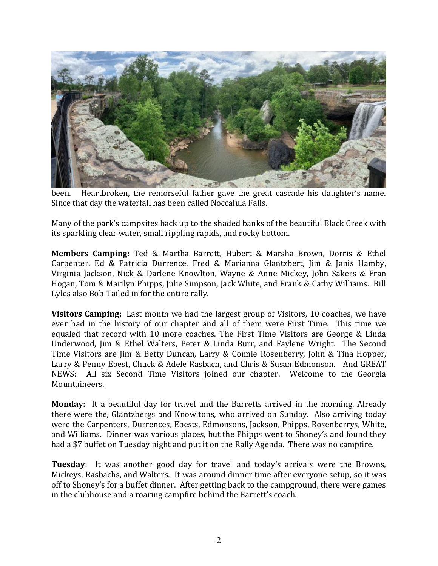

been. Heartbroken, the remorseful father gave the great cascade his daughter's name. Since that day the waterfall has been called Noccalula Falls.

Many of the park's campsites back up to the shaded banks of the beautiful Black Creek with its sparkling clear water, small rippling rapids, and rocky bottom.

**Members Camping:** Ted & Martha Barrett, Hubert & Marsha Brown, Dorris & Ethel Carpenter, Ed & Patricia Durrence, Fred & Marianna Glantzbert, Jim & Janis Hamby, Virginia Jackson, Nick & Darlene Knowlton, Wayne & Anne Mickey, John Sakers & Fran Hogan, Tom & Marilyn Phipps, Julie Simpson, Jack White, and Frank & Cathy Williams. Bill Lyles also Bob-Tailed in for the entire rally.

**Visitors Camping:** Last month we had the largest group of Visitors, 10 coaches, we have ever had in the history of our chapter and all of them were First Time. This time we equaled that record with 10 more coaches. The First Time Visitors are George & Linda Underwood, Jim & Ethel Walters, Peter & Linda Burr, and Faylene Wright. The Second Time Visitors are Jim & Betty Duncan, Larry & Connie Rosenberry, John & Tina Hopper, Larry & Penny Ebest, Chuck & Adele Rasbach, and Chris & Susan Edmonson. And GREAT NEWS: All six Second Time Visitors joined our chapter. Welcome to the Georgia Mountaineers.

**Monday:** It a beautiful day for travel and the Barretts arrived in the morning. Already there were the, Glantzbergs and Knowltons, who arrived on Sunday. Also arriving today were the Carpenters, Durrences, Ebests, Edmonsons, Jackson, Phipps, Rosenberrys, White, and Williams. Dinner was various places, but the Phipps went to Shoney's and found they had a \$7 buffet on Tuesday night and put it on the Rally Agenda. There was no campfire.

**Tuesday**: It was another good day for travel and today's arrivals were the Browns, Mickeys, Rasbachs, and Walters. It was around dinner time after everyone setup, so it was off to Shoney's for a buffet dinner. After getting back to the campground, there were games in the clubhouse and a roaring campfire behind the Barrett's coach.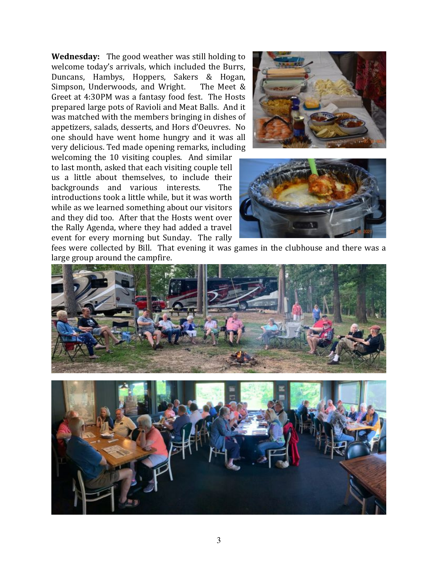**Wednesday:** The good weather was still holding to welcome today's arrivals, which included the Burrs, Duncans, Hambys, Hoppers, Sakers & Hogan, Simpson, Underwoods, and Wright. The Meet & Greet at 4:30PM was a fantasy food fest. The Hosts prepared large pots of Ravioli and Meat Balls. And it was matched with the members bringing in dishes of appetizers, salads, desserts, and Hors d'Oeuvres. No one should have went home hungry and it was all very delicious. Ted made opening remarks, including

welcoming the 10 visiting couples. And similar to last month, asked that each visiting couple tell us a little about themselves, to include their backgrounds and various interests. The introductions took a little while, but it was worth while as we learned something about our visitors and they did too. After that the Hosts went over the Rally Agenda, where they had added a travel event for every morning but Sunday. The rally





fees were collected by Bill. That evening it was games in the clubhouse and there was a large group around the campfire.

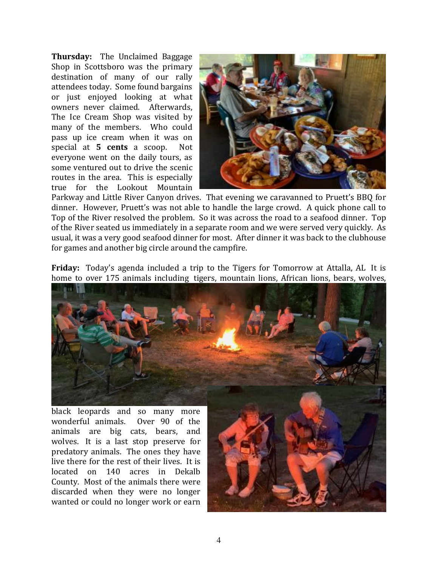**Thursday:** The Unclaimed Baggage Shop in Scottsboro was the primary destination of many of our rally attendees today. Some found bargains or just enjoyed looking at what owners never claimed. Afterwards, The Ice Cream Shop was visited by many of the members. Who could pass up ice cream when it was on special at **5 cents** a scoop. Not everyone went on the daily tours, as some ventured out to drive the scenic routes in the area. This is especially true for the Lookout Mountain



Parkway and Little River Canyon drives. That evening we caravanned to Pruett's BBQ for dinner. However, Pruett's was not able to handle the large crowd. A quick phone call to Top of the River resolved the problem. So it was across the road to a seafood dinner. Top of the River seated us immediately in a separate room and we were served very quickly. As usual, it was a very good seafood dinner for most. After dinner it was back to the clubhouse for games and another big circle around the campfire.

**Friday:** Today's agenda included a trip to the Tigers for Tomorrow at Attalla, AL It is home to over 175 animals including tigers, mountain lions, African lions, bears, wolves,



wonderful animals. Over 90 of the animals are big cats, bears, and wolves. It is a last stop preserve for predatory animals. The ones they have live there for the rest of their lives. It is located on 140 acres in Dekalb County. Most of the animals there were discarded when they were no longer wanted or could no longer work or earn

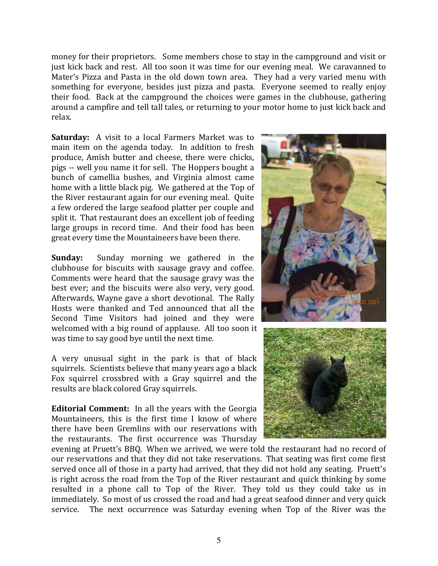money for their proprietors. Some members chose to stay in the campground and visit or just kick back and rest. All too soon it was time for our evening meal. We caravanned to Mater's Pizza and Pasta in the old down town area. They had a very varied menu with something for everyone, besides just pizza and pasta. Everyone seemed to really enjoy their food. Back at the campground the choices were games in the clubhouse, gathering around a campfire and tell tall tales, or returning to your motor home to just kick back and relax.

**Saturday:** A visit to a local Farmers Market was to main item on the agenda today. In addition to fresh produce, Amish butter and cheese, there were chicks, pigs -- well you name it for sell. The Hoppers bought a bunch of camellia bushes, and Virginia almost came home with a little black pig. We gathered at the Top of the River restaurant again for our evening meal. Quite a few ordered the large seafood platter per couple and split it. That restaurant does an excellent job of feeding large groups in record time. And their food has been great every time the Mountaineers have been there.

**Sunday:** Sunday morning we gathered in the clubhouse for biscuits with sausage gravy and coffee. Comments were heard that the sausage gravy was the best ever; and the biscuits were also very, very good. Afterwards, Wayne gave a short devotional. The Rally Hosts were thanked and Ted announced that all the Second Time Visitors had joined and they were welcomed with a big round of applause. All too soon it was time to say good bye until the next time.

A very unusual sight in the park is that of black squirrels. Scientists believe that many years ago a black Fox squirrel crossbred with a Gray squirrel and the results are black colored Gray squirrels.

**Editorial Comment:** In all the years with the Georgia Mountaineers, this is the first time I know of where there have been Gremlins with our reservations with the restaurants. The first occurrence was Thursday



evening at Pruett's BBQ. When we arrived, we were told the restaurant had no record of our reservations and that they did not take reservations. That seating was first come first served once all of those in a party had arrived, that they did not hold any seating. Pruett's is right across the road from the Top of the River restaurant and quick thinking by some resulted in a phone call to Top of the River. They told us they could take us in immediately. So most of us crossed the road and had a great seafood dinner and very quick service. The next occurrence was Saturday evening when Top of the River was the